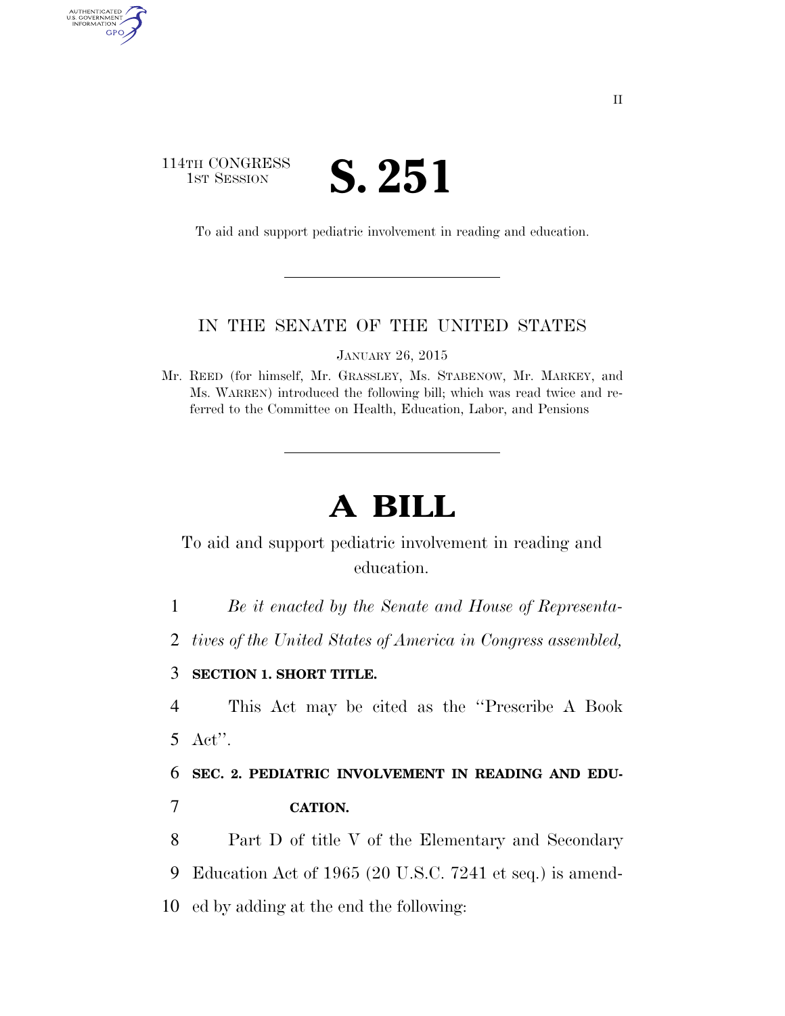## 114TH CONGRESS **IST SESSION S. 251**

AUTHENTICATED<br>U.S. GOVERNMENT<br>INFORMATION

GPO

To aid and support pediatric involvement in reading and education.

#### IN THE SENATE OF THE UNITED STATES

JANUARY 26, 2015

Mr. REED (for himself, Mr. GRASSLEY, Ms. STABENOW, Mr. MARKEY, and Ms. WARREN) introduced the following bill; which was read twice and referred to the Committee on Health, Education, Labor, and Pensions

# **A BILL**

To aid and support pediatric involvement in reading and education.

1 *Be it enacted by the Senate and House of Representa-*

2 *tives of the United States of America in Congress assembled,* 

#### 3 **SECTION 1. SHORT TITLE.**

4 This Act may be cited as the ''Prescribe A Book 5 Act''.

6 **SEC. 2. PEDIATRIC INVOLVEMENT IN READING AND EDU-**7 **CATION.** 

8 Part D of title V of the Elementary and Secondary 9 Education Act of 1965 (20 U.S.C. 7241 et seq.) is amend-10 ed by adding at the end the following: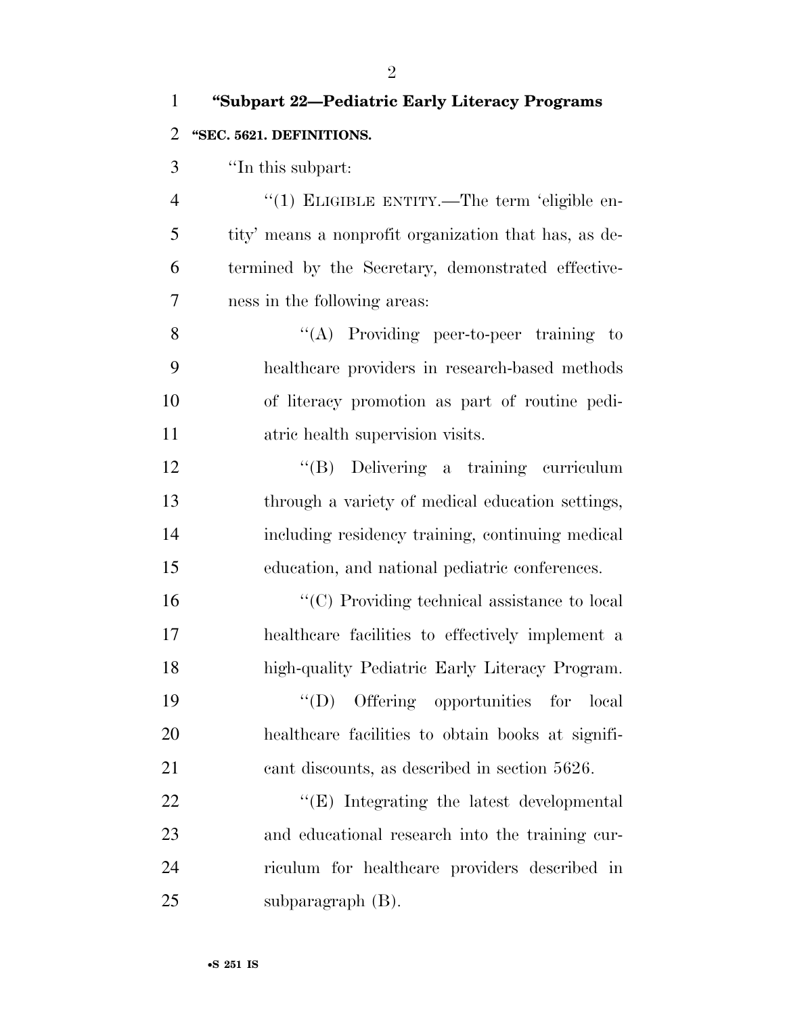| $\mathbf{1}$   | "Subpart 22-Pediatric Early Literacy Programs         |
|----------------|-------------------------------------------------------|
| 2              | "SEC. 5621. DEFINITIONS.                              |
| 3              | "In this subpart:                                     |
| $\overline{4}$ | "(1) ELIGIBLE ENTITY.—The term 'eligible en-          |
| 5              | tity' means a nonprofit organization that has, as de- |
| 6              | termined by the Secretary, demonstrated effective-    |
| 7              | ness in the following areas:                          |
| 8              | " $(A)$ Providing peer-to-peer training to            |
| 9              | healthcare providers in research-based methods        |
| 10             | of literacy promotion as part of routine pedi-        |
| 11             | atric health supervision visits.                      |
| 12             | "(B) Delivering a training curriculum                 |
| 13             | through a variety of medical education settings,      |
| 14             | including residency training, continuing medical      |
| 15             | education, and national pediatric conferences.        |
| 16             | "(C) Providing technical assistance to local          |
| 17             | healthcare facilities to effectively implement a      |
| 18             | high-quality Pediatric Early Literacy Program.        |
| 19             | Offering opportunities for local<br>$\lq\lq (D)$      |
| 20             | healthcare facilities to obtain books at signifi-     |
| 21             | cant discounts, as described in section 5626.         |
| 22             | $\lq\lq(E)$ Integrating the latest developmental      |
| 23             | and educational research into the training cur-       |
| 24             | riculum for healthcare providers described in         |
| 25             | subparagraph $(B)$ .                                  |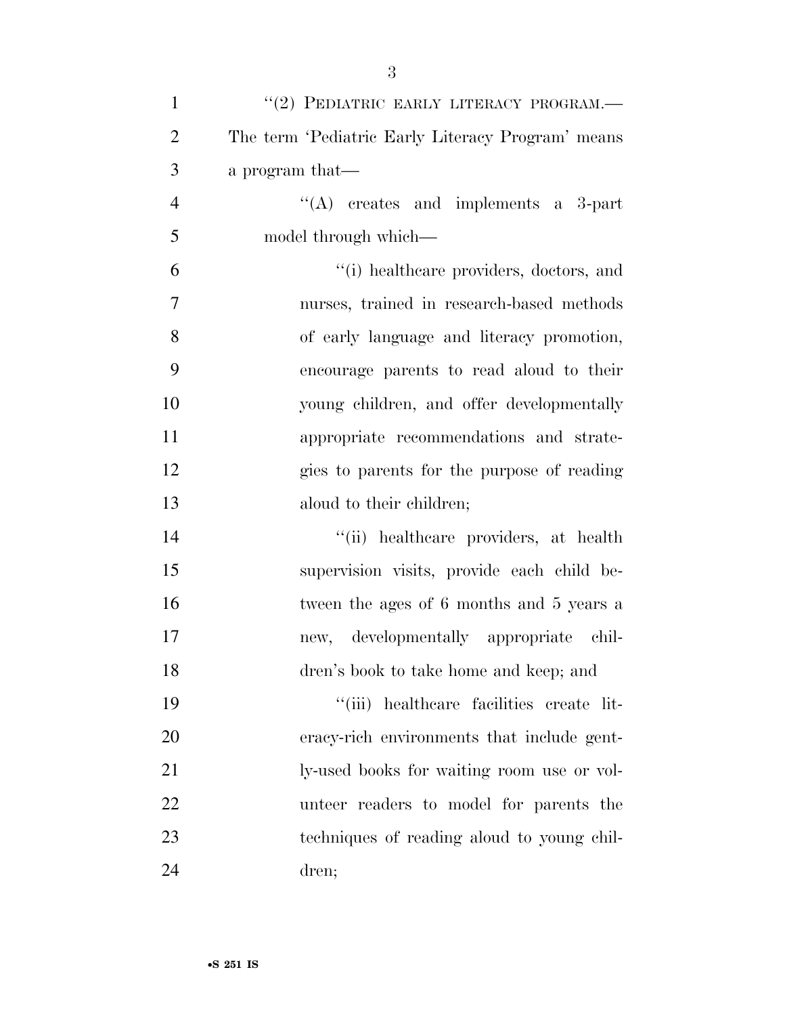| $\mathbf{1}$   | "(2) PEDIATRIC EARLY LITERACY PROGRAM.-           |
|----------------|---------------------------------------------------|
| $\overline{2}$ | The term 'Pediatric Early Literacy Program' means |
| 3              | a program that—                                   |
| $\overline{4}$ | "(A) creates and implements a 3-part              |
| 5              | model through which—                              |
| 6              | "(i) healthcare providers, doctors, and           |
| $\tau$         | nurses, trained in research-based methods         |
| 8              | of early language and literacy promotion,         |
| 9              | encourage parents to read aloud to their          |
| 10             | young children, and offer developmentally         |
| 11             | appropriate recommendations and strate-           |
| 12             | gies to parents for the purpose of reading        |
| 13             | aloud to their children;                          |
| 14             | "(ii) healthcare providers, at health             |
| 15             | supervision visits, provide each child be-        |
| 16             | tween the ages of 6 months and 5 years a          |
| 17             | new, developmentally appropriate chil-            |
| 18             | dren's book to take home and keep; and            |
| 19             | "(iii) healthcare facilities create lit-          |
| 20             | eracy-rich environments that include gent-        |
| 21             | ly-used books for waiting room use or vol-        |
| 22             | unteer readers to model for parents the           |
| 23             | techniques of reading a loud to young chil-       |
| 24             | dren;                                             |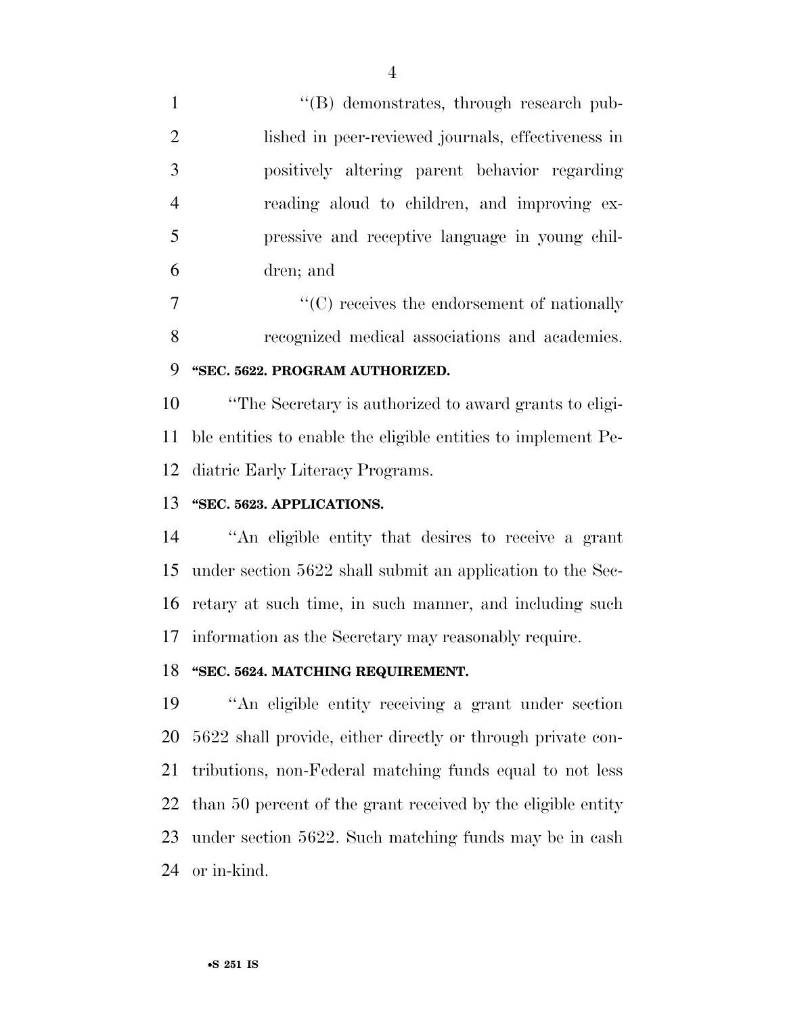1 ''(B) demonstrates, through research pub- lished in peer-reviewed journals, effectiveness in positively altering parent behavior regarding reading aloud to children, and improving ex- pressive and receptive language in young chil-dren; and

 ''(C) receives the endorsement of nationally recognized medical associations and academies.

## **''SEC. 5622. PROGRAM AUTHORIZED.**

 ''The Secretary is authorized to award grants to eligi- ble entities to enable the eligible entities to implement Pe-diatric Early Literacy Programs.

### **''SEC. 5623. APPLICATIONS.**

 ''An eligible entity that desires to receive a grant under section 5622 shall submit an application to the Sec- retary at such time, in such manner, and including such information as the Secretary may reasonably require.

#### **''SEC. 5624. MATCHING REQUIREMENT.**

 ''An eligible entity receiving a grant under section 5622 shall provide, either directly or through private con- tributions, non-Federal matching funds equal to not less than 50 percent of the grant received by the eligible entity under section 5622. Such matching funds may be in cash or in-kind.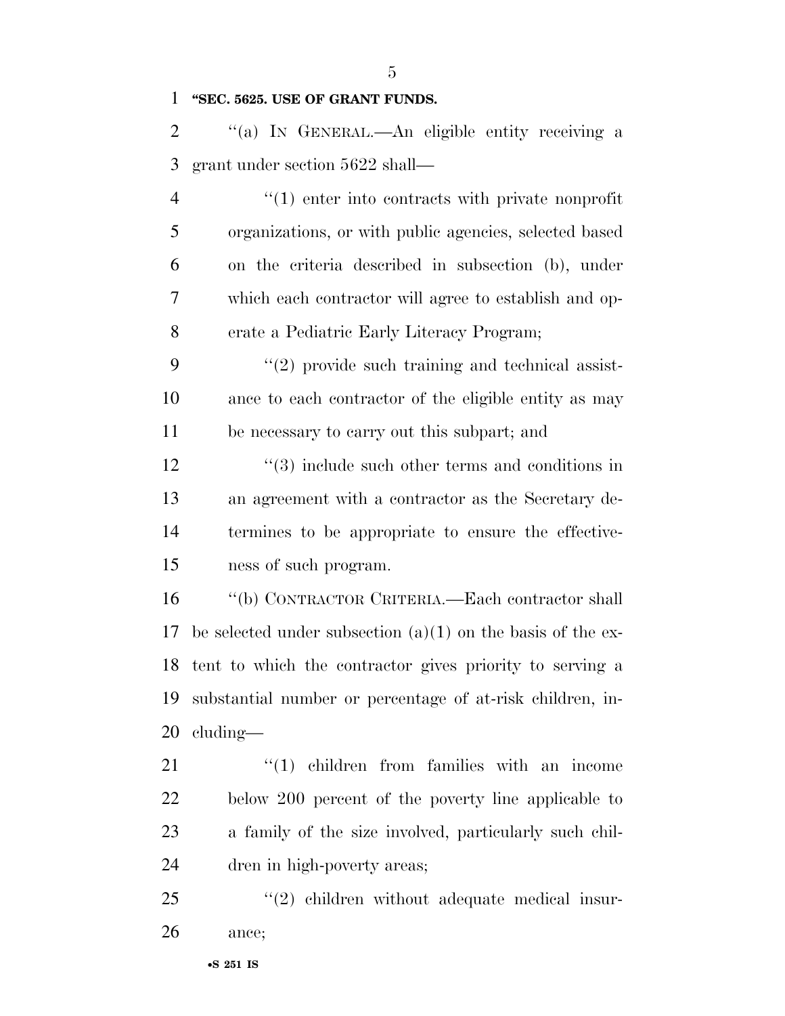**''SEC. 5625. USE OF GRANT FUNDS.** 

 ''(a) IN GENERAL.—An eligible entity receiving a grant under section 5622 shall—

 $\frac{4}{1}$  enter into contracts with private nonprofit organizations, or with public agencies, selected based on the criteria described in subsection (b), under which each contractor will agree to establish and op-erate a Pediatric Early Literacy Program;

 ''(2) provide such training and technical assist- ance to each contractor of the eligible entity as may be necessary to carry out this subpart; and

12 ''(3) include such other terms and conditions in an agreement with a contractor as the Secretary de- termines to be appropriate to ensure the effective-ness of such program.

 ''(b) CONTRACTOR CRITERIA.—Each contractor shall 17 be selected under subsection  $(a)(1)$  on the basis of the ex- tent to which the contractor gives priority to serving a substantial number or percentage of at-risk children, in-cluding—

 $\frac{1}{2}$  (1) children from families with an income below 200 percent of the poverty line applicable to a family of the size involved, particularly such chil-dren in high-poverty areas;

25 "(2) children without adequate medical insur-ance;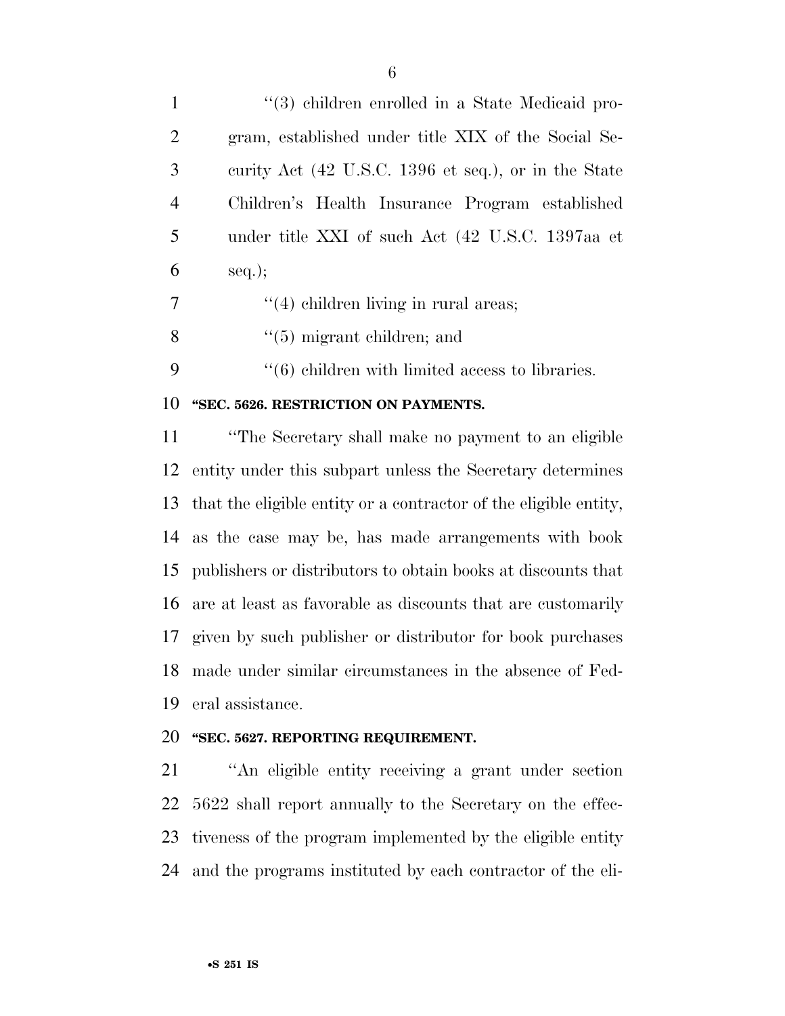| 1              | "(3) children enrolled in a State Medicaid pro-        |
|----------------|--------------------------------------------------------|
| 2              | gram, established under title XIX of the Social Se-    |
| 3              | curity Act (42 U.S.C. 1396 et seq.), or in the State   |
| $\overline{4}$ | Children's Health Insurance Program established        |
| 5              | under title XXI of such Act (42 U.S.C. 1397aa et       |
| 6              | $seq.$ ;                                               |
| 7              | $\lq(4)$ children living in rural areas;               |
| 8              | $\lq(5)$ migrant children; and                         |
| 9              | $\cdot$ (6) children with limited access to libraries. |
| 10             | "SEC. 5626. RESTRICTION ON PAYMENTS.                   |

 ''The Secretary shall make no payment to an eligible entity under this subpart unless the Secretary determines that the eligible entity or a contractor of the eligible entity, as the case may be, has made arrangements with book publishers or distributors to obtain books at discounts that are at least as favorable as discounts that are customarily given by such publisher or distributor for book purchases made under similar circumstances in the absence of Fed-eral assistance.

#### **''SEC. 5627. REPORTING REQUIREMENT.**

 ''An eligible entity receiving a grant under section 5622 shall report annually to the Secretary on the effec- tiveness of the program implemented by the eligible entity and the programs instituted by each contractor of the eli